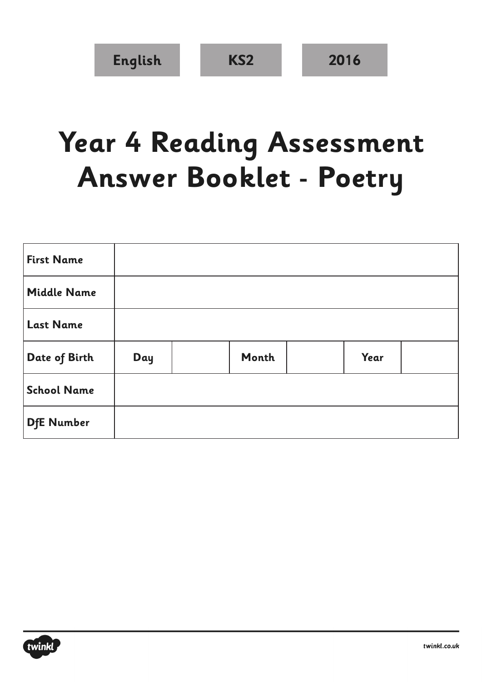## **Year 4 Reading Assessment Answer Booklet - Poetry**

| <b>First Name</b>  |     |       |      |  |
|--------------------|-----|-------|------|--|
| <b>Middle Name</b> |     |       |      |  |
| <b>Last Name</b>   |     |       |      |  |
| Date of Birth      | Day | Month | Year |  |
| <b>School Name</b> |     |       |      |  |
| <b>DfE Number</b>  |     |       |      |  |

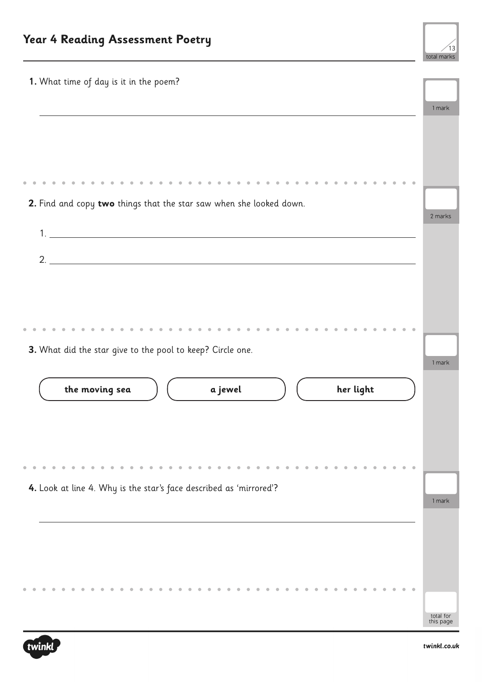

| 1. What time of day is it in the poem?                              | 1 mark                 |
|---------------------------------------------------------------------|------------------------|
|                                                                     |                        |
|                                                                     |                        |
| 2. Find and copy two things that the star saw when she looked down. |                        |
|                                                                     | 2 marks                |
|                                                                     |                        |
| 2.                                                                  |                        |
|                                                                     |                        |
|                                                                     |                        |
|                                                                     |                        |
| 3. What did the star give to the pool to keep? Circle one.          | 1 mark                 |
|                                                                     |                        |
| the moving sea<br>her light<br>a jewel                              |                        |
|                                                                     |                        |
|                                                                     |                        |
|                                                                     |                        |
|                                                                     |                        |
| 4. Look at line 4. Why is the star's face described as 'mirrored'?  | 1 mark                 |
|                                                                     |                        |
|                                                                     |                        |
|                                                                     |                        |
|                                                                     |                        |
|                                                                     |                        |
|                                                                     | total for<br>this page |

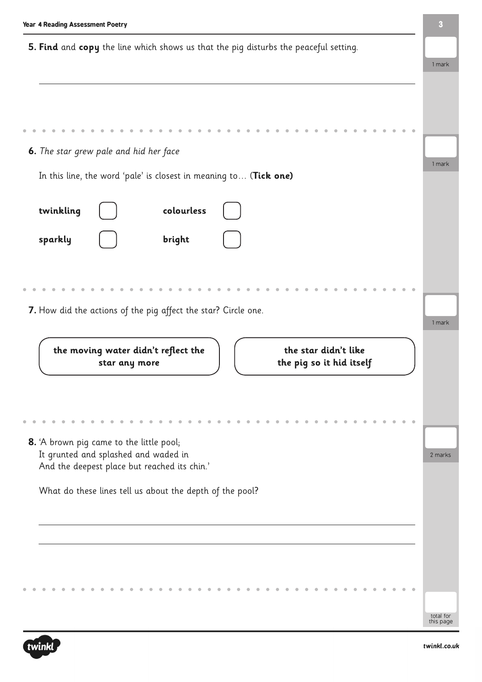| Year 4 Reading Assessment Poetry                                                                         | 3       |  |  |
|----------------------------------------------------------------------------------------------------------|---------|--|--|
| 5. Find and copy the line which shows us that the pig disturbs the peaceful setting.                     |         |  |  |
|                                                                                                          | 1 mark  |  |  |
|                                                                                                          |         |  |  |
|                                                                                                          |         |  |  |
| 6. The star grew pale and hid her face                                                                   |         |  |  |
| In this line, the word 'pale' is closest in meaning to (Tick one)                                        | 1 mark  |  |  |
| colourless<br>twinkling                                                                                  |         |  |  |
| sparkly<br>bright                                                                                        |         |  |  |
|                                                                                                          |         |  |  |
|                                                                                                          |         |  |  |
| 7. How did the actions of the pig affect the star? Circle one.                                           | 1 mark  |  |  |
|                                                                                                          |         |  |  |
| the moving water didn't reflect the<br>the star didn't like<br>the pig so it hid itself<br>star any more |         |  |  |
|                                                                                                          |         |  |  |
|                                                                                                          |         |  |  |
| 8. 'A brown pig came to the little pool;<br>It grunted and splashed and waded in                         | 2 marks |  |  |
| And the deepest place but reached its chin.'                                                             |         |  |  |
| What do these lines tell us about the depth of the pool?                                                 |         |  |  |
|                                                                                                          |         |  |  |
|                                                                                                          |         |  |  |
|                                                                                                          |         |  |  |
|                                                                                                          |         |  |  |

total for this page